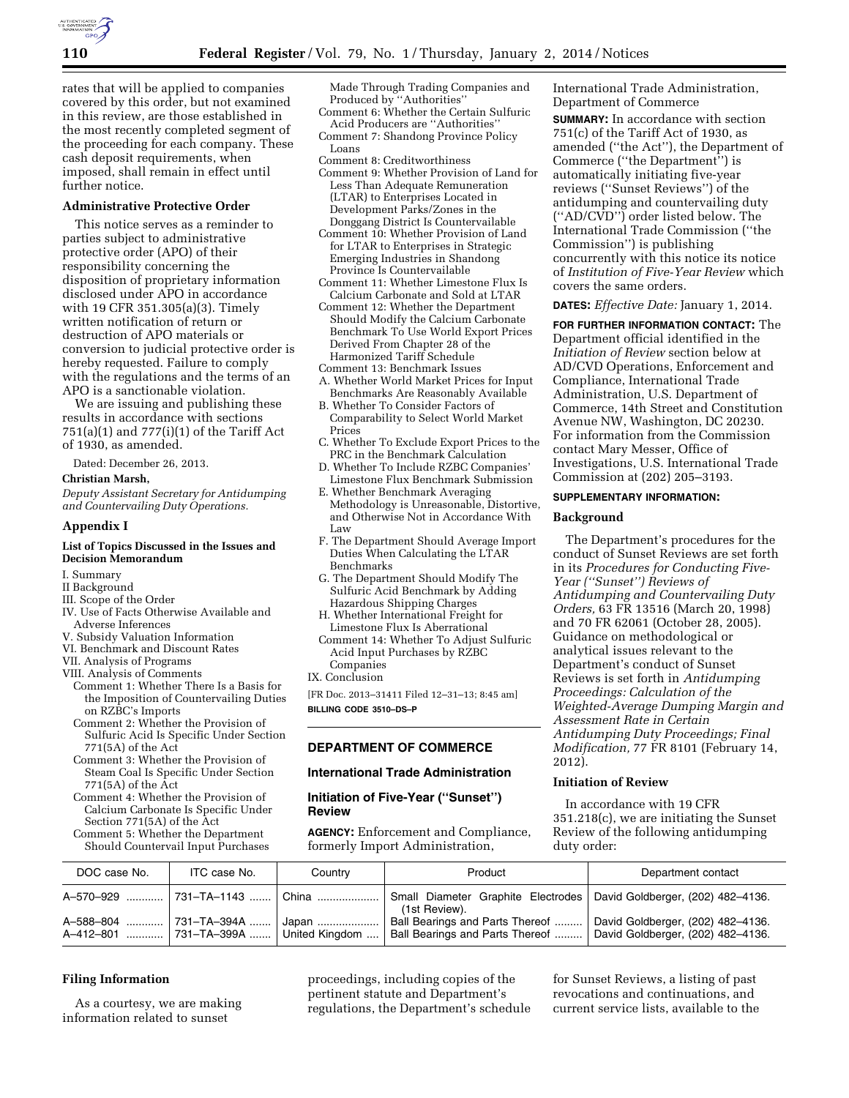

rates that will be applied to companies covered by this order, but not examined in this review, are those established in the most recently completed segment of the proceeding for each company. These cash deposit requirements, when imposed, shall remain in effect until further notice.

# **Administrative Protective Order**

This notice serves as a reminder to parties subject to administrative protective order (APO) of their responsibility concerning the disposition of proprietary information disclosed under APO in accordance with 19 CFR 351.305(a)(3). Timely written notification of return or destruction of APO materials or conversion to judicial protective order is hereby requested. Failure to comply with the regulations and the terms of an APO is a sanctionable violation.

We are issuing and publishing these results in accordance with sections 751(a)(1) and 777(i)(1) of the Tariff Act of 1930, as amended.

Dated: December 26, 2013.

### **Christian Marsh,**

*Deputy Assistant Secretary for Antidumping and Countervailing Duty Operations.* 

### **Appendix I**

### **List of Topics Discussed in the Issues and Decision Memorandum**

- I. Summary
- II Background
- III. Scope of the Order
- IV. Use of Facts Otherwise Available and Adverse Inferences
- V. Subsidy Valuation Information
- VI. Benchmark and Discount Rates
- VII. Analysis of Programs
- VIII. Analysis of Comments
- Comment 1: Whether There Is a Basis for the Imposition of Countervailing Duties on RZBC's Imports
- Comment 2: Whether the Provision of Sulfuric Acid Is Specific Under Section 771(5A) of the Act
- Comment 3: Whether the Provision of Steam Coal Is Specific Under Section 771(5A) of the Act
- Comment 4: Whether the Provision of Calcium Carbonate Is Specific Under Section 771(5A) of the Act
- Comment 5: Whether the Department Should Countervail Input Purchases

Made Through Trading Companies and Produced by "Authorities"

- Comment 6: Whether the Certain Sulfuric Acid Producers are ''Authorities''
- Comment 7: Shandong Province Policy Loans
- Comment 8: Creditworthiness
- Comment 9: Whether Provision of Land for Less Than Adequate Remuneration (LTAR) to Enterprises Located in Development Parks/Zones in the Donggang District Is Countervailable
- Comment 10: Whether Provision of Land for LTAR to Enterprises in Strategic Emerging Industries in Shandong Province Is Countervailable
- Comment 11: Whether Limestone Flux Is Calcium Carbonate and Sold at LTAR
- Comment 12: Whether the Department Should Modify the Calcium Carbonate Benchmark To Use World Export Prices Derived From Chapter 28 of the Harmonized Tariff Schedule
- Comment 13: Benchmark Issues
- A. Whether World Market Prices for Input Benchmarks Are Reasonably Available
- B. Whether To Consider Factors of Comparability to Select World Market Prices
- C. Whether To Exclude Export Prices to the PRC in the Benchmark Calculation
- D. Whether To Include RZBC Companies' Limestone Flux Benchmark Submission
- E. Whether Benchmark Averaging Methodology is Unreasonable, Distortive, and Otherwise Not in Accordance With Law
- F. The Department Should Average Import Duties When Calculating the LTAR Benchmarks
- G. The Department Should Modify The Sulfuric Acid Benchmark by Adding Hazardous Shipping Charges
- H. Whether International Freight for Limestone Flux Is Aberrational
- Comment 14: Whether To Adjust Sulfuric Acid Input Purchases by RZBC Companies
- IX. Conclusion

[FR Doc. 2013–31411 Filed 12–31–13; 8:45 am] **BILLING CODE 3510–DS–P** 

## **DEPARTMENT OF COMMERCE**

#### **International Trade Administration**

**Initiation of Five-Year (''Sunset'') Review** 

**AGENCY:** Enforcement and Compliance, formerly Import Administration,

International Trade Administration, Department of Commerce

**SUMMARY:** In accordance with section 751(c) of the Tariff Act of 1930, as amended (''the Act''), the Department of Commerce (''the Department'') is automatically initiating five-year reviews (''Sunset Reviews'') of the antidumping and countervailing duty (''AD/CVD'') order listed below. The International Trade Commission (''the Commission'') is publishing concurrently with this notice its notice of *Institution of Five-Year Review* which covers the same orders.

### **DATES:** *Effective Date:* January 1, 2014.

**FOR FURTHER INFORMATION CONTACT:** The Department official identified in the *Initiation of Review* section below at AD/CVD Operations, Enforcement and Compliance, International Trade Administration, U.S. Department of Commerce, 14th Street and Constitution Avenue NW, Washington, DC 20230. For information from the Commission contact Mary Messer, Office of Investigations, U.S. International Trade Commission at (202) 205–3193.

## **SUPPLEMENTARY INFORMATION:**

### **Background**

The Department's procedures for the conduct of Sunset Reviews are set forth in its *Procedures for Conducting Five-Year (''Sunset'') Reviews of Antidumping and Countervailing Duty Orders,* 63 FR 13516 (March 20, 1998) and 70 FR 62061 (October 28, 2005). Guidance on methodological or analytical issues relevant to the Department's conduct of Sunset Reviews is set forth in *Antidumping Proceedings: Calculation of the Weighted-Average Dumping Margin and Assessment Rate in Certain Antidumping Duty Proceedings; Final Modification,* 77 FR 8101 (February 14, 2012).

#### **Initiation of Review**

In accordance with 19 CFR 351.218(c), we are initiating the Sunset Review of the following antidumping duty order:

| DOC case No.                  | ITC case No.                    | Country        | Product                                                            | Department contact                                                     |
|-------------------------------|---------------------------------|----------------|--------------------------------------------------------------------|------------------------------------------------------------------------|
| A-570-929  731-TA-1143  China |                                 |                | Small Diameter Graphite Electrodes<br>(1st Review).                | David Goldberger, (202) 482-4136.                                      |
| A-588-804<br>A-412-801        | 731-TA-394A  '<br>  731–TA–399A | United Kingdom | Ball Bearings and Parts Thereof<br>Ball Bearings and Parts Thereof | David Goldberger, (202) 482-4136.<br>David Goldberger, (202) 482-4136. |

### **Filing Information**

As a courtesy, we are making information related to sunset

proceedings, including copies of the pertinent statute and Department's regulations, the Department's schedule

for Sunset Reviews, a listing of past revocations and continuations, and current service lists, available to the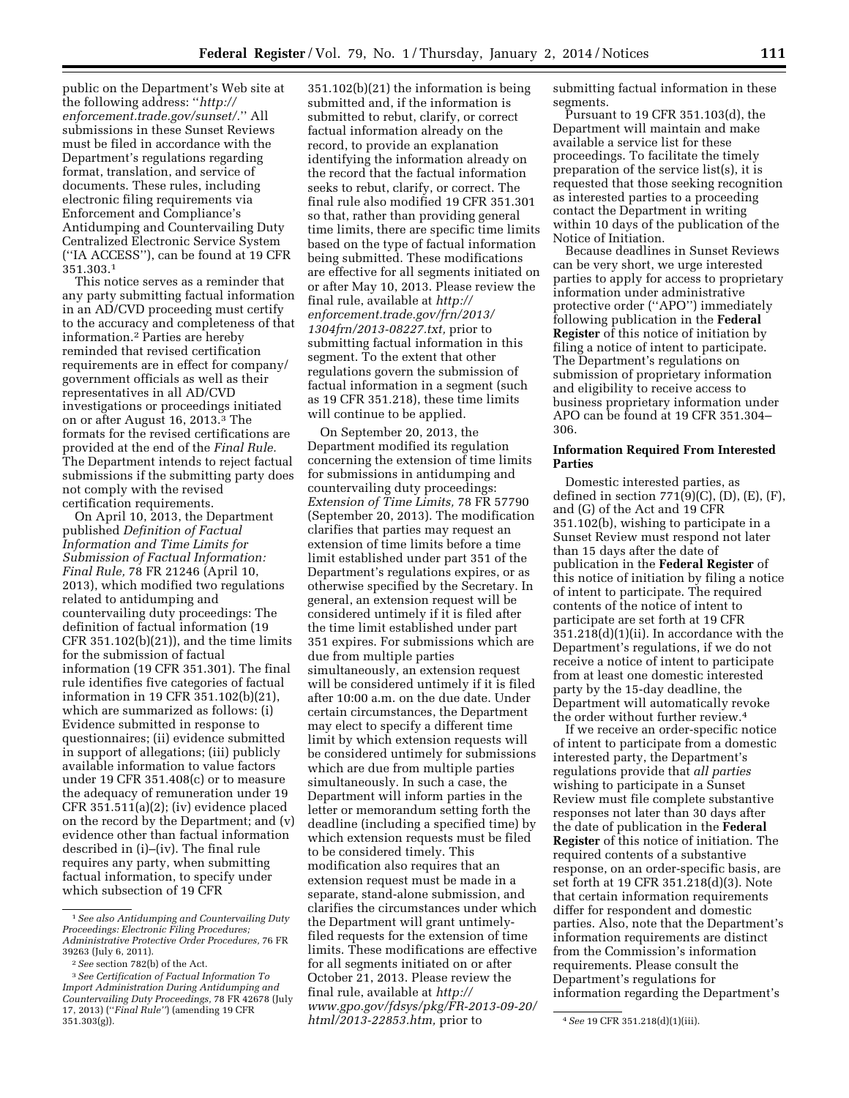public on the Department's Web site at the following address: ''*[http://](http://enforcement.trade.gov/sunset/) [enforcement.trade.gov/sunset/.](http://enforcement.trade.gov/sunset/)*'' All submissions in these Sunset Reviews must be filed in accordance with the Department's regulations regarding format, translation, and service of documents. These rules, including electronic filing requirements via Enforcement and Compliance's Antidumping and Countervailing Duty Centralized Electronic Service System (''IA ACCESS''), can be found at 19 CFR 351.303.1

This notice serves as a reminder that any party submitting factual information in an AD/CVD proceeding must certify to the accuracy and completeness of that information.2 Parties are hereby reminded that revised certification requirements are in effect for company/ government officials as well as their representatives in all AD/CVD investigations or proceedings initiated on or after August 16, 2013.3 The formats for the revised certifications are provided at the end of the *Final Rule.*  The Department intends to reject factual submissions if the submitting party does not comply with the revised certification requirements.

On April 10, 2013, the Department published *Definition of Factual Information and Time Limits for Submission of Factual Information: Final Rule,* 78 FR 21246 (April 10, 2013), which modified two regulations related to antidumping and countervailing duty proceedings: The definition of factual information (19 CFR 351.102(b)(21)), and the time limits for the submission of factual information (19 CFR 351.301). The final rule identifies five categories of factual information in 19 CFR 351.102(b)(21), which are summarized as follows: (i) Evidence submitted in response to questionnaires; (ii) evidence submitted in support of allegations; (iii) publicly available information to value factors under 19 CFR 351.408(c) or to measure the adequacy of remuneration under 19 CFR 351.511(a)(2); (iv) evidence placed on the record by the Department; and (v) evidence other than factual information described in (i)–(iv). The final rule requires any party, when submitting factual information, to specify under which subsection of 19 CFR

351.102(b)(21) the information is being submitted and, if the information is submitted to rebut, clarify, or correct factual information already on the record, to provide an explanation identifying the information already on the record that the factual information seeks to rebut, clarify, or correct. The final rule also modified 19 CFR 351.301 so that, rather than providing general time limits, there are specific time limits based on the type of factual information being submitted. These modifications are effective for all segments initiated on or after May 10, 2013. Please review the final rule, available at *[http://](http://enforcement.trade.gov/frn/2013/1304frn/2013-08227.txt) [enforcement.trade.gov/frn/2013/](http://enforcement.trade.gov/frn/2013/1304frn/2013-08227.txt) [1304frn/2013-08227.txt,](http://enforcement.trade.gov/frn/2013/1304frn/2013-08227.txt)* prior to submitting factual information in this segment. To the extent that other regulations govern the submission of factual information in a segment (such as 19 CFR 351.218), these time limits will continue to be applied.

On September 20, 2013, the Department modified its regulation concerning the extension of time limits for submissions in antidumping and countervailing duty proceedings: *Extension of Time Limits,* 78 FR 57790 (September 20, 2013). The modification clarifies that parties may request an extension of time limits before a time limit established under part 351 of the Department's regulations expires, or as otherwise specified by the Secretary. In general, an extension request will be considered untimely if it is filed after the time limit established under part 351 expires. For submissions which are due from multiple parties simultaneously, an extension request will be considered untimely if it is filed after 10:00 a.m. on the due date. Under certain circumstances, the Department may elect to specify a different time limit by which extension requests will be considered untimely for submissions which are due from multiple parties simultaneously. In such a case, the Department will inform parties in the letter or memorandum setting forth the deadline (including a specified time) by which extension requests must be filed to be considered timely. This modification also requires that an extension request must be made in a separate, stand-alone submission, and clarifies the circumstances under which the Department will grant untimelyfiled requests for the extension of time limits. These modifications are effective for all segments initiated on or after October 21, 2013. Please review the final rule, available at *[http://](http://www.gpo.gov/fdsys/pkg/FR-2013-09-20/html/2013-22853.htm) [www.gpo.gov/fdsys/pkg/FR-2013-09-20/](http://www.gpo.gov/fdsys/pkg/FR-2013-09-20/html/2013-22853.htm)*

submitting factual information in these segments.

Pursuant to 19 CFR 351.103(d), the Department will maintain and make available a service list for these proceedings. To facilitate the timely preparation of the service list(s), it is requested that those seeking recognition as interested parties to a proceeding contact the Department in writing within 10 days of the publication of the Notice of Initiation.

Because deadlines in Sunset Reviews can be very short, we urge interested parties to apply for access to proprietary information under administrative protective order (''APO'') immediately following publication in the **Federal Register** of this notice of initiation by filing a notice of intent to participate. The Department's regulations on submission of proprietary information and eligibility to receive access to business proprietary information under APO can be found at 19 CFR 351.304– 306.

## **Information Required From Interested Parties**

Domestic interested parties, as defined in section  $771(9)(C)$ ,  $(D)$ ,  $(E)$ ,  $(F)$ , and (G) of the Act and 19 CFR 351.102(b), wishing to participate in a Sunset Review must respond not later than 15 days after the date of publication in the **Federal Register** of this notice of initiation by filing a notice of intent to participate. The required contents of the notice of intent to participate are set forth at 19 CFR 351.218(d)(1)(ii). In accordance with the Department's regulations, if we do not receive a notice of intent to participate from at least one domestic interested party by the 15-day deadline, the Department will automatically revoke the order without further review.4

If we receive an order-specific notice of intent to participate from a domestic interested party, the Department's regulations provide that *all parties*  wishing to participate in a Sunset Review must file complete substantive responses not later than 30 days after the date of publication in the **Federal Register** of this notice of initiation. The required contents of a substantive response, on an order-specific basis, are set forth at 19 CFR 351.218(d)(3). Note that certain information requirements differ for respondent and domestic parties. Also, note that the Department's information requirements are distinct from the Commission's information requirements. Please consult the Department's regulations for information regarding the Department's

<sup>1</sup>*See also Antidumping and Countervailing Duty Proceedings: Electronic Filing Procedures; Administrative Protective Order Procedures,* 76 FR 39263 (July 6, 2011).

<sup>2</sup>*See* section 782(b) of the Act.

<sup>3</sup>*See Certification of Factual Information To Import Administration During Antidumping and Countervailing Duty Proceedings,* 78 FR 42678 (July 17, 2013) (''*Final Rule''*) (amending 19 CFR 351.303(g)). 4*See* 19 CFR 351.218(d)(1)(iii). *[html/2013-22853.htm,](http://www.gpo.gov/fdsys/pkg/FR-2013-09-20/html/2013-22853.htm)* prior to